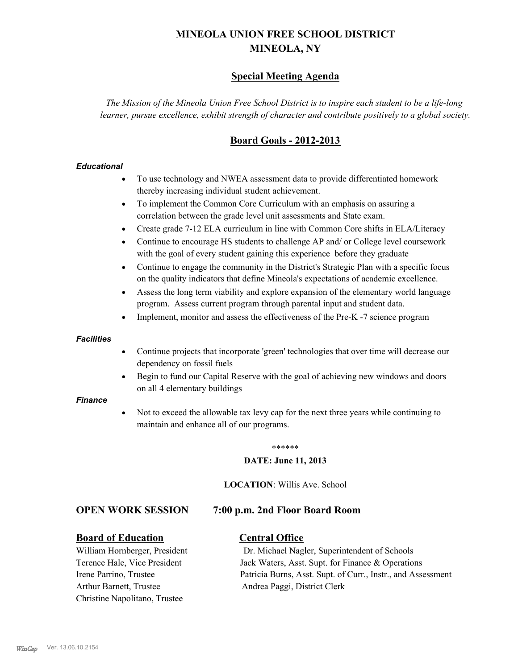# **MINEOLA UNION FREE SCHOOL DISTRICT MINEOLA, NY**

## **Special Meeting Agenda**

*The Mission of the Mineola Union Free School District is to inspire each student to be a life-long learner, pursue excellence, exhibit strength of character and contribute positively to a global society.*

## **Board Goals - 2012-2013**

#### *Educational*

- · To use technology and NWEA assessment data to provide differentiated homework thereby increasing individual student achievement.
- · To implement the Common Core Curriculum with an emphasis on assuring a correlation between the grade level unit assessments and State exam.
- Create grade 7-12 ELA curriculum in line with Common Core shifts in ELA/Literacy
- Continue to encourage HS students to challenge AP and/ or College level coursework with the goal of every student gaining this experience before they graduate
- · Continue to engage the community in the District's Strategic Plan with a specific focus on the quality indicators that define Mineola's expectations of academic excellence.
- Assess the long term viability and explore expansion of the elementary world language program. Assess current program through parental input and student data.
- Implement, monitor and assess the effectiveness of the Pre-K -7 science program

#### *Facilities*

- · Continue projects that incorporate 'green' technologies that over time will decrease our dependency on fossil fuels
- Begin to fund our Capital Reserve with the goal of achieving new windows and doors on all 4 elementary buildings

#### *Finance*

Not to exceed the allowable tax levy cap for the next three years while continuing to maintain and enhance all of our programs.

#### \*\*\*\*\*\*

#### **DATE: June 11, 2013**

**LOCATION**: Willis Ave. School

### **OPEN WORK SESSION 7:00 p.m. 2nd Floor Board Room**

### **Board of Education Central Office**

Arthur Barnett, Trustee Andrea Paggi, District Clerk Christine Napolitano, Trustee

William Hornberger, President Dr. Michael Nagler, Superintendent of Schools Terence Hale, Vice President Jack Waters, Asst. Supt. for Finance & Operations Irene Parrino, Trustee Patricia Burns, Asst. Supt. of Curr., Instr., and Assessment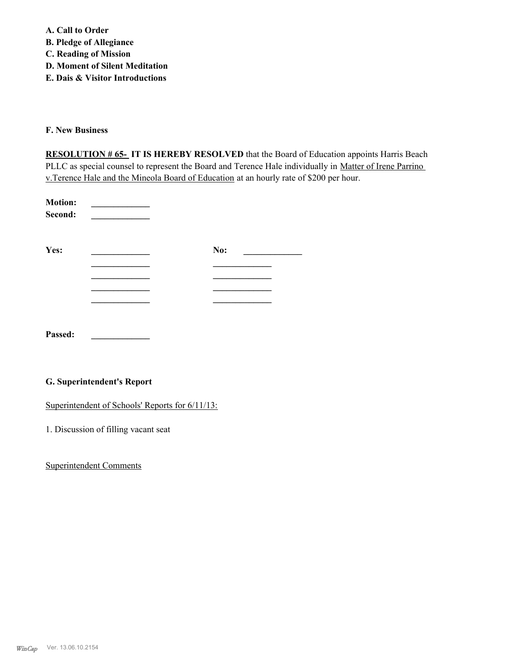**A. Call to Order B. Pledge of Allegiance C. Reading of Mission D. Moment of Silent Meditation E. Dais & Visitor Introductions** 

**F. New Business**

**RESOLUTION # 65- IT IS HEREBY RESOLVED** that the Board of Education appoints Harris Beach PLLC as special counsel to represent the Board and Terence Hale individually in Matter of Irene Parrino v.Terence Hale and the Mineola Board of Education at an hourly rate of \$200 per hour.

| <b>Motion:</b><br>Second: |     |
|---------------------------|-----|
| Yes:                      | No: |
|                           |     |
|                           |     |
|                           |     |
|                           |     |
| Passed:                   |     |

### **G. Superintendent's Report**

Superintendent of Schools' Reports for  $6/11/13$ :

1. Discussion of filling vacant seat

Superintendent Comments